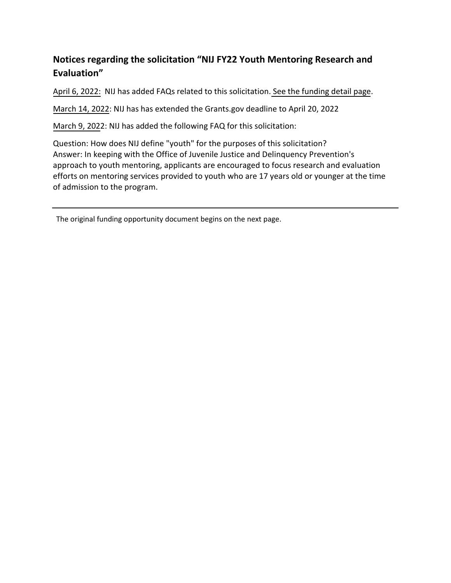## **Notices regarding the solicitation "NIJ FY22 Youth Mentoring Research and Evaluation"**

April 6, 2022: NIJ has added FAQs related to this solicitation. [See the funding detail page.](https://nij.ojp.gov/funding/opportunities/o-nij-2022-171065)

March 14, 2022: NIJ has has extended the Grants.gov deadline to April 20, 2022

March 9, 2022: NIJ has added the following FAQ for this solicitation:

Question: How does NIJ define "youth" for the purposes of this solicitation? Answer: In keeping with the Office of Juvenile Justice and Delinquency Prevention's approach to youth mentoring, applicants are encouraged to focus research and evaluation efforts on mentoring services provided to youth who are 17 years old or younger at the time of admission to the program.

The original funding opportunity document begins on the next page.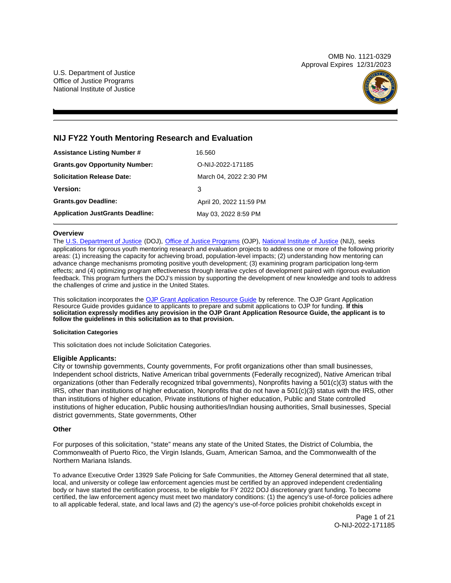OMB No. 1121-0329 Approval Expires 12/31/2023

U.S. Department of Justice Office of Justice Programs National Institute of Justice



## **NIJ FY22 Youth Mentoring Research and Evaluation**

| <b>Assistance Listing Number #</b>      | 16.560                  |
|-----------------------------------------|-------------------------|
| <b>Grants.gov Opportunity Number:</b>   | O-NIJ-2022-171185       |
| <b>Solicitation Release Date:</b>       | March 04, 2022 2:30 PM  |
| <b>Version:</b>                         | 3                       |
| <b>Grants.gov Deadline:</b>             | April 20, 2022 11:59 PM |
| <b>Application JustGrants Deadline:</b> | May 03, 2022 8:59 PM    |

## **Overview**

The [U.S. Department of Justice](https://www.usdoj.gov/) (DOJ), [Office of Justice Programs](https://www.ojp.usdoj.gov/) (OJP), [National Institute of Justice](https://nij.ojp.gov/) (NIJ), seeks applications for rigorous youth mentoring research and evaluation projects to address one or more of the following priority areas: (1) increasing the capacity for achieving broad, population-level impacts; (2) understanding how mentoring can advance change mechanisms promoting positive youth development; (3) examining program participation long-term effects; and (4) optimizing program effectiveness through iterative cycles of development paired with rigorous evaluation feedback. This program furthers the DOJ's mission by supporting the development of new knowledge and tools to address the challenges of crime and justice in the United States.

This solicitation incorporates the [OJP Grant Application Resource Guide](https://www.ojp.gov/funding/Apply/Resources/Grant-App-Resource-Guide.htm) by reference. The OJP Grant Application Resource Guide provides guidance to applicants to prepare and submit applications to OJP for funding. **If this solicitation expressly modifies any provision in the OJP Grant Application Resource Guide, the applicant is to follow the guidelines in this solicitation as to that provision.** 

## **Solicitation Categories**

This solicitation does not include Solicitation Categories.

## **Eligible Applicants:**

City or township governments, County governments, For profit organizations other than small businesses, Independent school districts, Native American tribal governments (Federally recognized), Native American tribal organizations (other than Federally recognized tribal governments), Nonprofits having a 501(c)(3) status with the IRS, other than institutions of higher education, Nonprofits that do not have a 501(c)(3) status with the IRS, other than institutions of higher education, Private institutions of higher education, Public and State controlled institutions of higher education, Public housing authorities/Indian housing authorities, Small businesses, Special district governments, State governments, Other

## **Other**

For purposes of this solicitation, "state" means any state of the United States, the District of Columbia, the Commonwealth of Puerto Rico, the Virgin Islands, Guam, American Samoa, and the Commonwealth of the Northern Mariana Islands.

To advance Executive Order 13929 Safe Policing for Safe Communities, the Attorney General determined that all state, local, and university or college law enforcement agencies must be certified by an approved independent credentialing body or have started the certification process, to be eligible for FY 2022 DOJ discretionary grant funding. To become certified, the law enforcement agency must meet two mandatory conditions: (1) the agency's use-of-force policies adhere to all applicable federal, state, and local laws and (2) the agency's use-of-force policies prohibit chokeholds except in

> Page 1 of 21 O-NIJ-2022-171185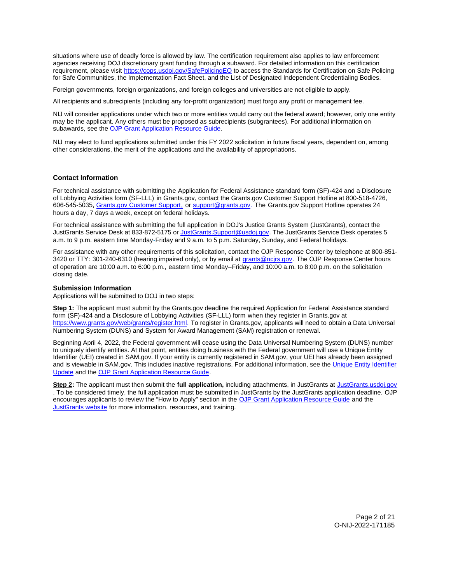<span id="page-2-0"></span>situations where use of deadly force is allowed by law. The certification requirement also applies to law enforcement agencies receiving DOJ discretionary grant funding through a subaward. For detailed information on this certification requirement, please visit [https://cops.usdoj.gov/SafePolicingEO](https://cops.usdoj.gov/SafePolicingEO%20) to access the Standards for Certification on Safe Policing for Safe Communities, the Implementation Fact Sheet, and the List of Designated Independent Credentialing Bodies.

Foreign governments, foreign organizations, and foreign colleges and universities are not eligible to apply.

All recipients and subrecipients (including any for-profit organization) must forgo any profit or management fee.

NIJ will consider applications under which two or more entities would carry out the federal award; however, only one entity may be the applicant. Any others must be proposed as subrecipients (subgrantees). For additional information on subawards, see the [OJP Grant Application Resource Guide.](https://www.ojp.gov/funding/Apply/Resources/Grant-App-Resource-Guide.htm)

NIJ may elect to fund applications submitted under this FY 2022 solicitation in future fiscal years, dependent on, among other considerations, the merit of the applications and the availability of appropriations.

## **Contact Information**

For technical assistance with submitting the Application for Federal Assistance standard form (SF)**-**424 and a Disclosure of Lobbying Activities form (SF-LLL) in [Grants.gov](https://Grants.gov), contact the [Grants.gov](https://Grants.gov) Customer Support Hotline at 800-518-4726, 606-545-5035, [Grants.gov Customer Support,](https://www.grants.gov/web/grants/support.html) or [support@grants.gov.](mailto:support@grants.gov) The [Grants.gov](https://Grants.gov) Support Hotline operates 24 hours a day, 7 days a week, except on federal holidays.

For technical assistance with submitting the full application in DOJ's Justice Grants System (JustGrants), contact the JustGrants Service Desk at 833-872-5175 or [JustGrants.Support@usdoj.gov.](mailto:JustGrants.Support@usdoj.gov) The JustGrants Service Desk operates 5 a.m. to 9 p.m. eastern time Monday-Friday and 9 a.m. to 5 p.m. Saturday, Sunday, and Federal holidays.

For assistance with any other requirements of this solicitation, contact the OJP Response Center by telephone at 800-851 3420 or TTY: 301-240-6310 (hearing impaired only), or by email at [grants@ncjrs.gov.](mailto:grants@ncjrs.gov) The OJP Response Center hours of operation are 10:00 a.m. to 6:00 p.m., eastern time Monday–Friday, and 10:00 a.m. to 8:00 p.m. on the solicitation closing date.

## **Submission Information**

Applications will be submitted to DOJ in two steps:

**Step 1:** The applicant must submit by the [Grants.gov](https://Grants.gov) deadline the required Application for Federal Assistance standard form (SF)-424 and a Disclosure of Lobbying Activities (SF-LLL) form when they register in [Grants.gov](https://Grants.gov) at [https://www.grants.gov/web/grants/register.html.](https://www.grants.gov/web/grants/register.html) To register in [Grants.gov](https://Grants.gov), applicants will need to obtain a Data Universal Numbering System (DUNS) and System for Award Management (SAM) registration or renewal.

Beginning April 4, 2022, the Federal government will cease using the Data Universal Numbering System (DUNS) number to uniquely identify entities. At that point, entities doing business with the Federal government will use a Unique Entity Identifier (UEI) created in SAM.gov. If your entity is currently registered in SAM.gov, your UEI has already been assigned and is viewable in SAM.gov. This includes inactive registrations. For additional information, see the [Unique Entity Identifier](https://www.gsa.gov/about-us/organization/federal-acquisition-service/office-of-systems-management/integrated-award-environment-iae/iae-systems-information-kit/unique-entity-identifier-update)  [Update](https://www.gsa.gov/about-us/organization/federal-acquisition-service/office-of-systems-management/integrated-award-environment-iae/iae-systems-information-kit/unique-entity-identifier-update) and the [OJP Grant Application Resource Guide.](https://www.ojp.gov/funding/apply/ojp-grant-application-resource-guide#unique-entity)

**Step 2:** The applicant must then submit the **full application,** including attachments, in JustGrants at [JustGrants.usdoj.gov](https://justicegrants.usdoj.gov/)  . To be considered timely, the full application must be submitted in JustGrants by the JustGrants application deadline. OJP encourages applicants to review the "How to Apply" section in the [OJP Grant Application Resource Guide](https://www.ojp.gov/funding/apply/ojp-grant-application-resource-guide#apply) and the [JustGrants website](https://justicegrants.usdoj.gov/news) for more information, resources, and training.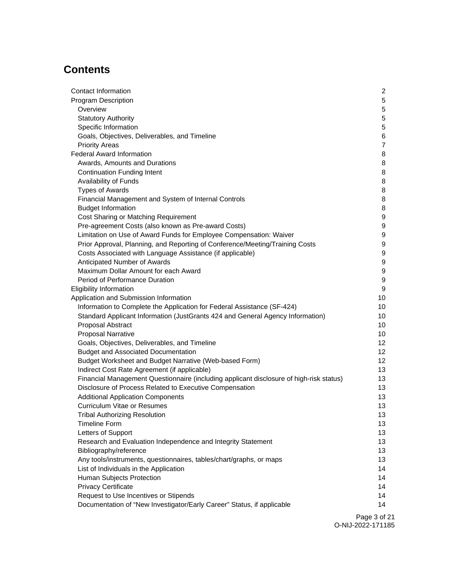# **Contents**

| Contact Information                                                                     | $\overline{c}$   |
|-----------------------------------------------------------------------------------------|------------------|
| <b>Program Description</b>                                                              | 5                |
| Overview                                                                                | 5                |
| <b>Statutory Authority</b>                                                              | 5                |
| Specific Information                                                                    | $\mathbf 5$      |
| Goals, Objectives, Deliverables, and Timeline                                           | 6                |
| <b>Priority Areas</b>                                                                   | $\overline{7}$   |
| <b>Federal Award Information</b>                                                        | 8                |
| Awards, Amounts and Durations                                                           | 8                |
| <b>Continuation Funding Intent</b>                                                      | 8                |
| Availability of Funds                                                                   | 8                |
| <b>Types of Awards</b>                                                                  | 8                |
| Financial Management and System of Internal Controls                                    | 8                |
| <b>Budget Information</b>                                                               | 8                |
| Cost Sharing or Matching Requirement                                                    | 9                |
| Pre-agreement Costs (also known as Pre-award Costs)                                     | 9                |
| Limitation on Use of Award Funds for Employee Compensation: Waiver                      | 9                |
| Prior Approval, Planning, and Reporting of Conference/Meeting/Training Costs            | 9                |
| Costs Associated with Language Assistance (if applicable)                               | $\boldsymbol{9}$ |
| Anticipated Number of Awards                                                            | 9                |
| Maximum Dollar Amount for each Award                                                    | 9                |
| Period of Performance Duration                                                          | $\boldsymbol{9}$ |
| <b>Eligibility Information</b>                                                          | 9                |
| Application and Submission Information                                                  | 10               |
| Information to Complete the Application for Federal Assistance (SF-424)                 | 10               |
| Standard Applicant Information (JustGrants 424 and General Agency Information)          | 10               |
| Proposal Abstract                                                                       | 10               |
| <b>Proposal Narrative</b>                                                               | 10               |
| Goals, Objectives, Deliverables, and Timeline                                           | 12               |
| <b>Budget and Associated Documentation</b>                                              | 12               |
| Budget Worksheet and Budget Narrative (Web-based Form)                                  | 12               |
| Indirect Cost Rate Agreement (if applicable)                                            | 13               |
| Financial Management Questionnaire (including applicant disclosure of high-risk status) | 13               |
| Disclosure of Process Related to Executive Compensation                                 | 13               |
| <b>Additional Application Components</b>                                                | 13               |
| <b>Curriculum Vitae or Resumes</b>                                                      | 13               |
| <b>Tribal Authorizing Resolution</b>                                                    | 13               |
| <b>Timeline Form</b>                                                                    | 13               |
| Letters of Support                                                                      | 13               |
| Research and Evaluation Independence and Integrity Statement                            | 13               |
| Bibliography/reference                                                                  | 13               |
| Any tools/instruments, questionnaires, tables/chart/graphs, or maps                     | 13               |
| List of Individuals in the Application                                                  | 14               |
| Human Subjects Protection                                                               | 14               |
| <b>Privacy Certificate</b>                                                              | 14               |
| Request to Use Incentives or Stipends                                                   | 14               |
| Documentation of "New Investigator/Early Career" Status, if applicable                  | 14               |

Page 3 of 21 O-NIJ-2022-171185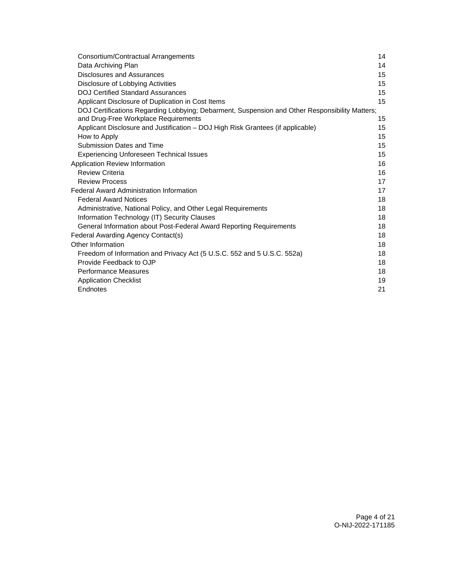| Consortium/Contractual Arrangements                                                            | 14 |
|------------------------------------------------------------------------------------------------|----|
| Data Archiving Plan                                                                            | 14 |
| Disclosures and Assurances                                                                     | 15 |
| Disclosure of Lobbying Activities                                                              | 15 |
| <b>DOJ Certified Standard Assurances</b>                                                       | 15 |
| Applicant Disclosure of Duplication in Cost Items                                              | 15 |
| DOJ Certifications Regarding Lobbying; Debarment, Suspension and Other Responsibility Matters; |    |
| and Drug-Free Workplace Requirements                                                           | 15 |
| Applicant Disclosure and Justification – DOJ High Risk Grantees (if applicable)                | 15 |
| How to Apply                                                                                   | 15 |
| Submission Dates and Time                                                                      | 15 |
| <b>Experiencing Unforeseen Technical Issues</b>                                                | 15 |
| Application Review Information                                                                 | 16 |
| <b>Review Criteria</b>                                                                         | 16 |
| <b>Review Process</b>                                                                          | 17 |
| <b>Federal Award Administration Information</b>                                                | 17 |
| <b>Federal Award Notices</b>                                                                   | 18 |
| Administrative, National Policy, and Other Legal Requirements                                  | 18 |
| Information Technology (IT) Security Clauses                                                   | 18 |
| General Information about Post-Federal Award Reporting Requirements                            | 18 |
| Federal Awarding Agency Contact(s)                                                             | 18 |
| Other Information                                                                              | 18 |
| Freedom of Information and Privacy Act (5 U.S.C. 552 and 5 U.S.C. 552a)                        | 18 |
| Provide Feedback to OJP                                                                        | 18 |
| <b>Performance Measures</b>                                                                    | 18 |
| <b>Application Checklist</b>                                                                   | 19 |
| Endnotes                                                                                       | 21 |
|                                                                                                |    |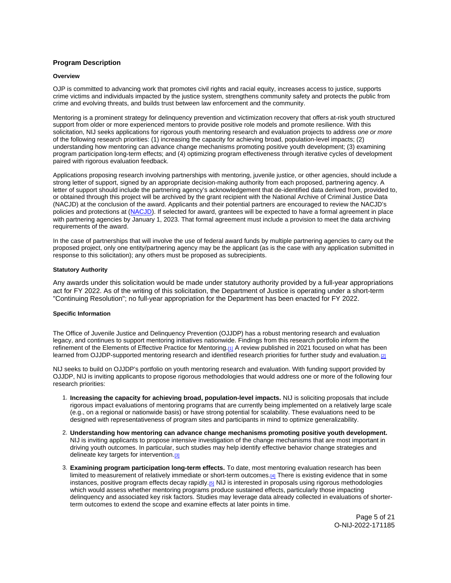## <span id="page-5-0"></span>**Program Description**

#### **Overview**

OJP is committed to advancing work that promotes civil rights and racial equity, increases access to justice, supports crime victims and individuals impacted by the justice system, strengthens community safety and protects the public from crime and evolving threats, and builds trust between law enforcement and the community.

Mentoring is a prominent strategy for delinquency prevention and victimization recovery that offers at-risk youth structured support from older or more experienced mentors to provide positive role models and promote resilience. With this solicitation, NIJ seeks applications for rigorous youth mentoring research and evaluation projects to address one or more of the following research priorities: (1) increasing the capacity for achieving broad, population-level impacts; (2) understanding how mentoring can advance change mechanisms promoting positive youth development; (3) examining program participation long-term effects; and (4) optimizing program effectiveness through iterative cycles of development paired with rigorous evaluation feedback.

Applications proposing research involving partnerships with mentoring, juvenile justice, or other agencies, should include a strong letter of support, signed by an appropriate decision-making authority from each proposed, partnering agency. A letter of support should include the partnering agency's acknowledgement that de-identified data derived from, provided to, or obtained through this project will be archived by the grant recipient with the National Archive of Criminal Justice Data (NACJD) at the conclusion of the award. Applicants and their potential partners are encouraged to review the NACJD's policies and protections at [\(NACJD\)](https://www.icpsr.umich.edu/web/pages/NACJD/archiving/deposit-nij-data.html). If selected for award, grantees will be expected to have a formal agreement in place with partnering agencies by January 1, 2023. That formal agreement must include a provision to meet the data archiving requirements of the award.

In the case of partnerships that will involve the use of federal award funds by multiple partnering agencies to carry out the proposed project, only one entity/partnering agency may be the applicant (as is the case with any application submitted in response to this solicitation); any others must be proposed as subrecipients.

## **Statutory Authority**

Any awards under this solicitation would be made under statutory authority provided by a full-year appropriations act for FY 2022. As of the writing of this solicitation, the Department of Justice is operating under a short-term "Continuing Resolution"; no full-year appropriation for the Department has been enacted for FY 2022.

## **Specific Information**

The Office of Juvenile Justice and Delinquency Prevention (OJJDP) has a robust mentoring research and evaluation legacy, and continues to support mentoring initiatives nationwide. Findings from this research portfolio inform the refinement of the Elements of Effective Practice for Mentoring.[\[1\]](#page-21-0) A review published in 2021 focused on what has been learned from OJJDP-supported mentoring research and identified research priorities for further study and evaluation.[2]

NIJ seeks to build on OJJDP's portfolio on youth mentoring research and evaluation. With funding support provided by OJJDP, NIJ is inviting applicants to propose rigorous methodologies that would address one or more of the following four research priorities:

- 1. **Increasing the capacity for achieving broad, population-level impacts.** NIJ is soliciting proposals that include rigorous impact evaluations of mentoring programs that are currently being implemented on a relatively large scale (e.g., on a regional or nationwide basis) or have strong potential for scalability. These evaluations need to be designed with representativeness of program sites and participants in mind to optimize generalizability.
- 2. **Understanding how mentoring can advance change mechanisms promoting positive youth development.** NIJ is inviting applicants to propose intensive investigation of the change mechanisms that are most important in driving youth outcomes. In particular, such studies may help identify effective behavior change strategies and delineate key targets for intervention.<sup>[3]</sup>
- 3. **Examining program participation long-term effects.** To date, most mentoring evaluation research has been limited to measurement of relatively immediate or short-term outcomes[.\[4\]](#page-21-0) There is existing evidence that in some instances, positive program effects decay rapidly.<sup>[5]</sup> NIJ is interested in proposals using rigorous methodologies which would assess whether mentoring programs produce sustained effects, particularly those impacting delinquency and associated key risk factors. Studies may leverage data already collected in evaluations of shorterterm outcomes to extend the scope and examine effects at later points in time.

Page 5 of 21 O-NIJ-2022-171185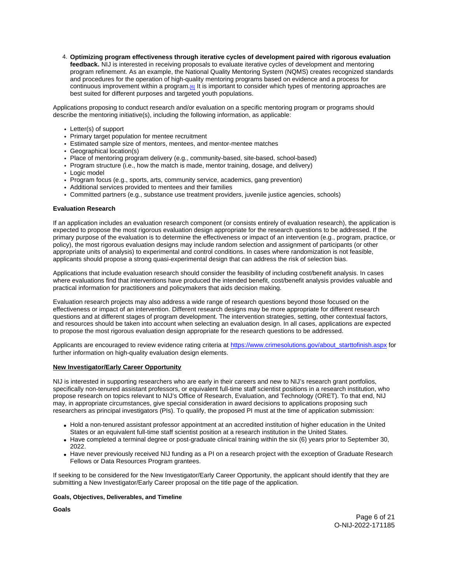<span id="page-6-0"></span>4. **Optimizing program effectiveness through iterative cycles of development paired with rigorous evaluation feedback.** NIJ is interested in receiving proposals to evaluate iterative cycles of development and mentoring program refinement. As an example, the National Quality Mentoring System (NQMS) creates recognized standards and procedures for the operation of high-quality mentoring programs based on evidence and a process for continuous improvement within a program.[\[6\]](#_edn1) It is important to consider which types of mentoring approaches are best suited for different purposes and targeted youth populations.

Applications proposing to conduct research and/or evaluation on a specific mentoring program or programs should describe the mentoring initiative(s), including the following information, as applicable:

- Letter(s) of support
- Primary target population for mentee recruitment
- Estimated sample size of mentors, mentees, and mentor-mentee matches
- Geographical location(s)
- Place of mentoring program delivery (e.g., community-based, site-based, school-based)
- Program structure (i.e., how the match is made, mentor training, dosage, and delivery)
- Logic model
- Program focus (e.g., sports, arts, community service, academics, gang prevention)
- Additional services provided to mentees and their families
- Committed partners (e.g., substance use treatment providers, juvenile justice agencies, schools)

## **Evaluation Research**

If an application includes an evaluation research component (or consists entirely of evaluation research), the application is expected to propose the most rigorous evaluation design appropriate for the research questions to be addressed. If the primary purpose of the evaluation is to determine the effectiveness or impact of an intervention (e.g., program, practice, or policy), the most rigorous evaluation designs may include random selection and assignment of participants (or other appropriate units of analysis) to experimental and control conditions. In cases where randomization is not feasible, applicants should propose a strong quasi-experimental design that can address the risk of selection bias.

Applications that include evaluation research should consider the feasibility of including cost/benefit analysis. In cases where evaluations find that interventions have produced the intended benefit, cost/benefit analysis provides valuable and practical information for practitioners and policymakers that aids decision making.

Evaluation research projects may also address a wide range of research questions beyond those focused on the effectiveness or impact of an intervention. Different research designs may be more appropriate for different research questions and at different stages of program development. The intervention strategies, setting, other contextual factors, and resources should be taken into account when selecting an evaluation design. In all cases, applications are expected to propose the most rigorous evaluation design appropriate for the research questions to be addressed.

Applicants are encouraged to review evidence rating criteria at [https://www.crimesolutions.gov/about\\_starttofinish.aspx](https://www.crimesolutions.gov/about_starttofinish.aspx) for further information on high-quality evaluation design elements.

## **New Investigator/Early Career Opportunity**

NIJ is interested in supporting researchers who are early in their careers and new to NIJ's research grant portfolios, specifically non-tenured assistant professors, or equivalent full-time staff scientist positions in a research institution, who propose research on topics relevant to NIJ's Office of Research, Evaluation, and Technology (ORET). To that end, NIJ may, in appropriate circumstances, give special consideration in award decisions to applications proposing such researchers as principal investigators (PIs). To qualify, the proposed PI must at the time of application submission:

- Hold a non-tenured assistant professor appointment at an accredited institution of higher education in the United States or an equivalent full-time staff scientist position at a research institution in the United States.
- Have completed a terminal degree or post-graduate clinical training within the six (6) years prior to September 30, 2022.
- Have never previously received NIJ funding as a PI on a research project with the exception of Graduate Research Fellows or Data Resources Program grantees.

If seeking to be considered for the New Investigator/Early Career Opportunity, the applicant should identify that they are submitting a New Investigator/Early Career proposal on the title page of the application.

## **Goals, Objectives, Deliverables, and Timeline**

**Goals** 

Page 6 of 21 O-NIJ-2022-171185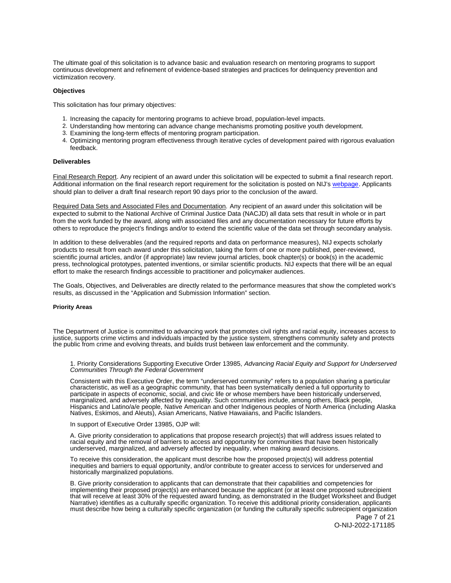<span id="page-7-0"></span>The ultimate goal of this solicitation is to advance basic and evaluation research on mentoring programs to support continuous development and refinement of evidence-based strategies and practices for delinquency prevention and victimization recovery.

#### **Objectives**

This solicitation has four primary objectives:

- 1. Increasing the capacity for mentoring programs to achieve broad, population-level impacts.
- 2. Understanding how mentoring can advance change mechanisms promoting positive youth development.
- 3. Examining the long-term effects of mentoring program participation.
- 4. Optimizing mentoring program effectiveness through iterative cycles of development paired with rigorous evaluation feedback.

## **Deliverables**

Final Research Report. Any recipient of an award under this solicitation will be expected to submit a final research report. Additional information on the final research report requirement for the solicitation is posted on NIJ's [webpage.](https://nij.ojp.gov/funding/research-development-and-evaluation-grant-award-requirements#xp5fv) Applicants should plan to deliver a draft final research report 90 days prior to the conclusion of the award.

Required Data Sets and Associated Files and Documentation. Any recipient of an award under this solicitation will be expected to submit to the National Archive of Criminal Justice Data (NACJD) all data sets that result in whole or in part from the work funded by the award, along with associated files and any documentation necessary for future efforts by others to reproduce the project's findings and/or to extend the scientific value of the data set through secondary analysis.

In addition to these deliverables (and the required reports and data on performance measures), NIJ expects scholarly products to result from each award under this solicitation, taking the form of one or more published, peer-reviewed, scientific journal articles, and/or (if appropriate) law review journal articles, book chapter(s) or book(s) in the academic press, technological prototypes, patented inventions, or similar scientific products. NIJ expects that there will be an equal effort to make the research findings accessible to practitioner and policymaker audiences.

The Goals, Objectives, and Deliverables are directly related to the performance measures that show the completed work's results, as discussed in the "Application and Submission Information" section.

#### **Priority Areas**

The Department of Justice is committed to advancing work that promotes civil rights and racial equity, increases access to justice, supports crime victims and individuals impacted by the justice system, strengthens community safety and protects the public from crime and evolving threats, and builds trust between law enforcement and the community.

1. Priority Considerations Supporting Executive Order 13985, Advancing Racial Equity and Support for Underserved Communities Through the Federal Government

Consistent with this Executive Order, the term "underserved community" refers to a population sharing a particular characteristic, as well as a geographic community, that has been systematically denied a full opportunity to participate in aspects of economic, social, and civic life or whose members have been historically underserved, marginalized, and adversely affected by inequality. Such communities include, among others, Black people, Hispanics and Latino/a/e people, Native American and other Indigenous peoples of North America (including Alaska Natives, Eskimos, and Aleuts), Asian Americans, Native Hawaiians, and Pacific Islanders.

In support of Executive Order 13985, OJP will:

A. Give priority consideration to applications that propose research project(s) that will address issues related to racial equity and the removal of barriers to access and opportunity for communities that have been historically underserved, marginalized, and adversely affected by inequality, when making award decisions.

To receive this consideration, the applicant must describe how the proposed project(s) will address potential inequities and barriers to equal opportunity, and/or contribute to greater access to services for underserved and historically marginalized populations.

B. Give priority consideration to applicants that can demonstrate that their capabilities and competencies for implementing their proposed project(s) are enhanced because the applicant (or at least one proposed subrecipient that will receive at least 30% of the requested award funding, as demonstrated in the Budget Worksheet and Budget Narrative) identifies as a culturally specific organization. To receive this additional priority consideration, applicants must describe how being a culturally specific organization (or funding the culturally specific subrecipient organization

Page 7 of 21 O-NIJ-2022-171185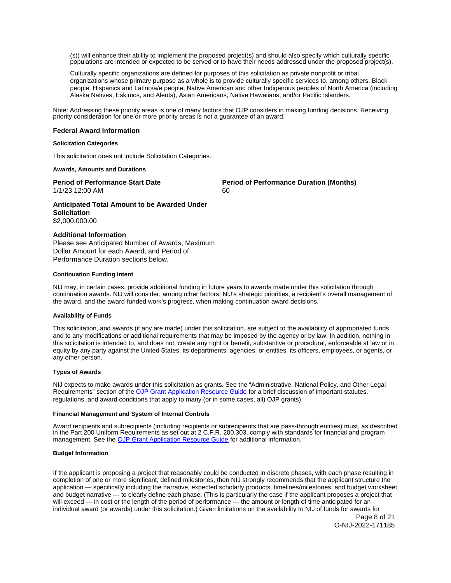<span id="page-8-0"></span>(s)) will enhance their ability to implement the proposed project(s) and should also specify which culturally specific populations are intended or expected to be served or to have their needs addressed under the proposed project(s).

Culturally specific organizations are defined for purposes of this solicitation as private nonprofit or tribal organizations whose primary purpose as a whole is to provide culturally specific services to, among others, Black people, Hispanics and Latino/a/e people, Native American and other Indigenous peoples of North America (including Alaska Natives, Eskimos, and Aleuts), Asian Americans, Native Hawaiians, and/or Pacific Islanders.

Note: Addressing these priority areas is one of many factors that OJP considers in making funding decisions. Receiving priority consideration for one or more priority areas is not a guarantee of an award.

#### **Federal Award Information**

#### **Solicitation Categories**

This solicitation does not include Solicitation Categories.

## **Awards, Amounts and Durations**

1/1/23 12:00 AM 60

**Period of Performance Start Date Mate Review Period of Performance Duration (Months)** 

**Anticipated Total Amount to be Awarded Under Solicitation**  \$2,000,000.00

## **Additional Information**

Please see Anticipated Number of Awards, Maximum Dollar Amount for each Award, and Period of Performance Duration sections below.

## **Continuation Funding Intent**

NIJ may, in certain cases, provide additional funding in future years to awards made under this solicitation through continuation awards. NIJ will consider, among other factors, NIJ's strategic priorities, a recipient's overall management of the award, and the award-funded work's progress, when making continuation award decisions.

## **Availability of Funds**

This solicitation, and awards (if any are made) under this solicitation, are subject to the availability of appropriated funds and to any modifications or additional requirements that may be imposed by the agency or by law. In addition, nothing in this solicitation is intended to, and does not, create any right or benefit, substantive or procedural, enforceable at law or in equity by any party against the United States, its departments, agencies, or entities, its officers, employees, or agents, or any other person.

## **Types of Awards**

NIJ expects to make awards under this solicitation as grants. See the "Administrative, National Policy, and Other Legal Requirements" section of the [OJP Grant Application Resource Guide](https://www.ojp.gov/funding/apply/ojp-grant-application-resource-guide#administrative) for a brief discussion of important statutes, regulations, and award conditions that apply to many (or in some cases, all) OJP grants).

#### **Financial Management and System of Internal Controls**

Award recipients and subrecipients (including recipients or subrecipients that are pass-through entities) must, as described in the Part 200 Uniform Requirements as set out at 2 C.F.R. 200.303, comply with standards for financial and program management. See the [OJP Grant Application Resource Guide](https://www.ojp.gov/funding/apply/ojp-grant-application-resource-guide#fm-internal-controls) for additional information.

## **Budget Information**

If the applicant is proposing a project that reasonably could be conducted in discrete phases, with each phase resulting in completion of one or more significant, defined milestones, then NIJ strongly recommends that the applicant structure the application — specifically including the narrative, expected scholarly products, timelines/milestones, and budget worksheet and budget narrative — to clearly define each phase. (This is particularly the case if the applicant proposes a project that will exceed — in cost or the length of the period of performance — the amount or length of time anticipated for an individual award (or awards) under this solicitation.) Given limitations on the availability to NIJ of funds for awards for

Page 8 of 21 O-NIJ-2022-171185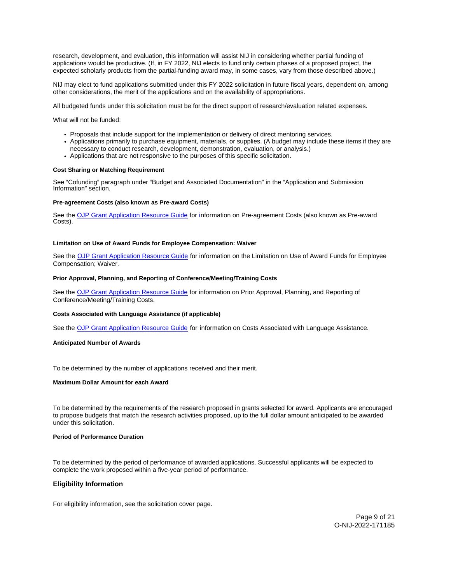<span id="page-9-0"></span>research, development, and evaluation, this information will assist NIJ in considering whether partial funding of applications would be productive. (If, in FY 2022, NIJ elects to fund only certain phases of a proposed project, the expected scholarly products from the partial-funding award may, in some cases, vary from those described above.)

NIJ may elect to fund applications submitted under this FY 2022 solicitation in future fiscal years, dependent on, among other considerations, the merit of the applications and on the availability of appropriations.

All budgeted funds under this solicitation must be for the direct support of research/evaluation related expenses.

What will not be funded:

- Proposals that include support for the implementation or delivery of direct mentoring services.
- Applications primarily to purchase equipment, materials, or supplies. (A budget may include these items if they are
- necessary to conduct research, development, demonstration, evaluation, or analysis.)
- Applications that are not responsive to the purposes of this specific solicitation.

## **Cost Sharing or Matching Requirement**

See "Cofunding" paragraph under "Budget and Associated Documentation" in the "Application and Submission Information" section.

## **Pre-agreement Costs (also known as Pre-award Costs)**

See the [OJP Grant Application Resource Guide](https://www.ojp.gov/funding/apply/ojp-grant-application-resource-guide#pre-agreement-costs) for information on Pre-agreement Costs (also known as Pre-award Costs).

#### **Limitation on Use of Award Funds for Employee Compensation: Waiver**

See the [OJP Grant Application Resource Guide](https://www.ojp.gov/funding/apply/ojp-grant-application-resource-guide#limitation-use-award) for information on the Limitation on Use of Award Funds for Employee Compensation; Waiver.

## **Prior Approval, Planning, and Reporting of Conference/Meeting/Training Costs**

See the [OJP Grant Application Resource Guide](https://www.ojp.gov/funding/apply/ojp-grant-application-resource-guide#prior-approval) for information on Prior Approval, Planning, and Reporting of Conference/Meeting/Training Costs.

#### **Costs Associated with Language Assistance (if applicable)**

See the [OJP Grant Application Resource Guide](https://www.ojp.gov/funding/apply/ojp-grant-application-resource-guide#costs-associated) for information on Costs Associated with Language Assistance.

#### **Anticipated Number of Awards**

To be determined by the number of applications received and their merit.

#### **Maximum Dollar Amount for each Award**

To be determined by the requirements of the research proposed in grants selected for award. Applicants are encouraged to propose budgets that match the research activities proposed, up to the full dollar amount anticipated to be awarded under this solicitation.

#### **Period of Performance Duration**

To be determined by the period of performance of awarded applications. Successful applicants will be expected to complete the work proposed within a five-year period of performance.

## **Eligibility Information**

For eligibility information, see the solicitation cover page.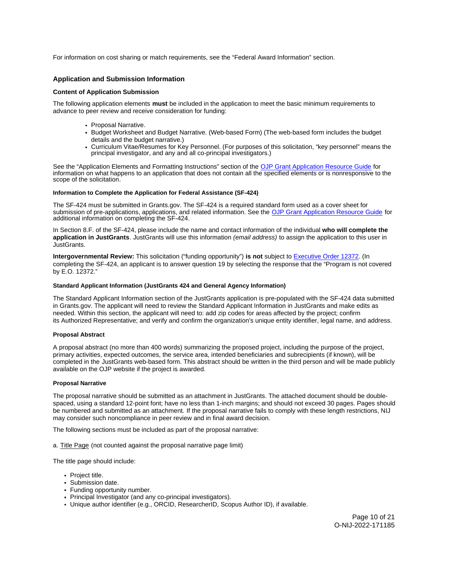<span id="page-10-0"></span>For information on cost sharing or match requirements, see the "Federal Award Information" section.

## **Application and Submission Information**

#### **Content of Application Submission**

The following application elements **must** be included in the application to meet the basic minimum requirements to advance to peer review and receive consideration for funding:

- Proposal Narrative.
- Budget Worksheet and Budget Narrative. (Web-based Form) (The web-based form includes the budget details and the budget narrative.)
- Curriculum Vitae/Resumes for Key Personnel. (For purposes of this solicitation, "key personnel" means the principal investigator, and any and all co-principal investigators.)

See the "Application Elements and Formatting Instructions" section of the [OJP Grant Application Resource Guide](https://www.ojp.gov/funding/apply/ojp-grant-application-resource-guide#application-elements) for information on what happens to an application that does not contain all the specified elements or is nonresponsive to the scope of the solicitation.

#### **Information to Complete the Application for Federal Assistance (SF-424)**

The SF-424 must be submitted in [Grants.gov](https://Grants.gov). The SF-424 is a required standard form used as a cover sheet for submission of pre-applications, applications, and related information. See the [OJP Grant Application Resource Guide](https://www.ojp.gov/funding/apply/ojp-grant-application-resource-guide#complete-application) for additional information on completing the SF-424.

In Section 8.F. of the SF-424, please include the name and contact information of the individual **who will complete the application in JustGrants**. JustGrants will use this information (email address) to assign the application to this user in JustGrants.

**Intergovernmental Review:** This solicitation ("funding opportunity") **is not** subject to [Executive Order 12372.](https://www.archives.gov/federal-register/codification/executive-order/12372.html) (In completing the SF-424, an applicant is to answer question 19 by selecting the response that the "Program is not covered by E.O. 12372."

#### **Standard Applicant Information (JustGrants 424 and General Agency Information)**

The Standard Applicant Information section of the JustGrants application is pre-populated with the SF-424 data submitted in [Grants.gov](https://Grants.gov). The applicant will need to review the Standard Applicant Information in JustGrants and make edits as needed. Within this section, the applicant will need to: add zip codes for areas affected by the project; confirm its Authorized Representative; and verify and confirm the organization's unique entity identifier, legal name, and address.

#### **Proposal Abstract**

A proposal abstract (no more than 400 words) summarizing the proposed project, including the purpose of the project, primary activities, expected outcomes, the service area, intended beneficiaries and subrecipients (if known), will be completed in the JustGrants web-based form. This abstract should be written in the third person and will be made publicly available on the OJP website if the project is awarded.

#### **Proposal Narrative**

The proposal narrative should be submitted as an attachment in JustGrants. The attached document should be doublespaced, using a standard 12-point font; have no less than 1-inch margins; and should not exceed 30 pages. Pages should be numbered and submitted as an attachment. If the proposal narrative fails to comply with these length restrictions, NIJ may consider such noncompliance in peer review and in final award decision.

The following sections must be included as part of the proposal narrative:

a. Title Page (not counted against the proposal narrative page limit)

The title page should include:

- Project title.
- Submission date.
- Funding opportunity number.
- Principal Investigator (and any co-principal investigators).
- Unique author identifier (e.g., ORCID, ResearcherID, Scopus Author ID), if available.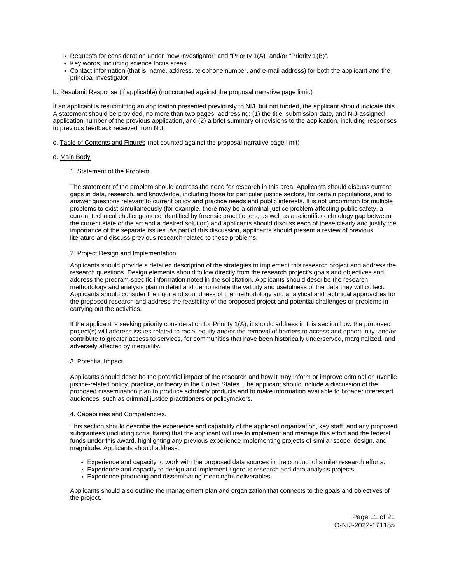- Requests for consideration under "new investigator" and "Priority 1(A)" and/or "Priority 1(B)".
- Key words, including science focus areas.
- Contact information (that is, name, address, telephone number, and e-mail address) for both the applicant and the principal investigator.
- b. Resubmit Response (if applicable) (not counted against the proposal narrative page limit.)

If an applicant is resubmitting an application presented previously to NIJ, but not funded, the applicant should indicate this. A statement should be provided, no more than two pages, addressing: (1) the title, submission date, and NIJ-assigned application number of the previous application, and (2) a brief summary of revisions to the application, including responses to previous feedback received from NIJ.

c. Table of Contents and Figures (not counted against the proposal narrative page limit)

## d. Main Body

1. Statement of the Problem.

The statement of the problem should address the need for research in this area. Applicants should discuss current gaps in data, research, and knowledge, including those for particular justice sectors, for certain populations, and to answer questions relevant to current policy and practice needs and public interests. It is not uncommon for multiple problems to exist simultaneously (for example, there may be a criminal justice problem affecting public safety, a current technical challenge/need identified by forensic practitioners, as well as a scientific/technology gap between the current state of the art and a desired solution) and applicants should discuss each of these clearly and justify the importance of the separate issues. As part of this discussion, applicants should present a review of previous literature and discuss previous research related to these problems.

#### 2. Project Design and Implementation.

Applicants should provide a detailed description of the strategies to implement this research project and address the research questions. Design elements should follow directly from the research project's goals and objectives and address the program-specific information noted in the solicitation. Applicants should describe the research methodology and analysis plan in detail and demonstrate the validity and usefulness of the data they will collect. Applicants should consider the rigor and soundness of the methodology and analytical and technical approaches for the proposed research and address the feasibility of the proposed project and potential challenges or problems in carrying out the activities.

If the applicant is seeking priority consideration for Priority 1(A), it should address in this section how the proposed project(s) will address issues related to racial equity and/or the removal of barriers to access and opportunity, and/or contribute to greater access to services, for communities that have been historically underserved, marginalized, and adversely affected by inequality.

## 3. Potential Impact.

Applicants should describe the potential impact of the research and how it may inform or improve criminal or juvenile justice-related policy, practice, or theory in the United States. The applicant should include a discussion of the proposed dissemination plan to produce scholarly products and to make information available to broader interested audiences, such as criminal justice practitioners or policymakers.

#### 4. Capabilities and Competencies.

This section should describe the experience and capability of the applicant organization, key staff, and any proposed subgrantees (including consultants) that the applicant will use to implement and manage this effort and the federal funds under this award, highlighting any previous experience implementing projects of similar scope, design, and magnitude. Applicants should address:

- Experience and capacity to work with the proposed data sources in the conduct of similar research efforts.
- Experience and capacity to design and implement rigorous research and data analysis projects.
- Experience producing and disseminating meaningful deliverables.

Applicants should also outline the management plan and organization that connects to the goals and objectives of the project.

> Page 11 of 21 O-NIJ-2022-171185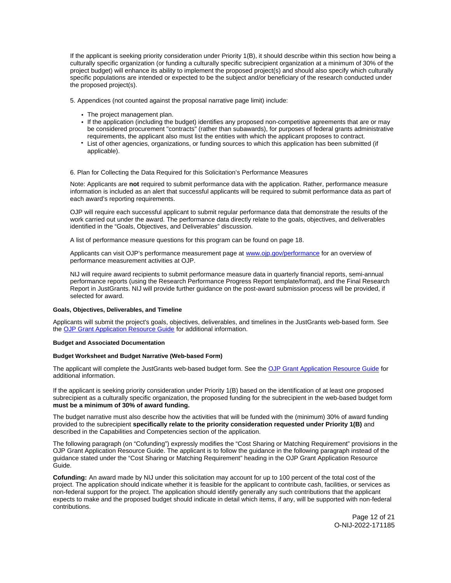<span id="page-12-0"></span>If the applicant is seeking priority consideration under Priority 1(B), it should describe within this section how being a culturally specific organization (or funding a culturally specific subrecipient organization at a minimum of 30% of the project budget) will enhance its ability to implement the proposed project(s) and should also specify which culturally specific populations are intended or expected to be the subject and/or beneficiary of the research conducted under the proposed project(s).

5. Appendices (not counted against the proposal narrative page limit) include:

- The project management plan.
- If the application (including the budget) identifies any proposed non-competitive agreements that are or may be considered procurement "contracts" (rather than subawards), for purposes of federal grants administrative requirements, the applicant also must list the entities with which the applicant proposes to contract.
- List of other agencies, organizations, or funding sources to which this application has been submitted (if applicable).

6. Plan for Collecting the Data Required for this Solicitation's Performance Measures

Note: Applicants are **not** required to submit performance data with the application. Rather, performance measure information is included as an alert that successful applicants will be required to submit performance data as part of each award's reporting requirements.

OJP will require each successful applicant to submit regular performance data that demonstrate the results of the work carried out under the award. The performance data directly relate to the goals, objectives, and deliverables identified in the "Goals, Objectives, and Deliverables" discussion.

A list of performance measure questions for this program can be found on page 18.

Applicants can visit OJP's performance measurement page at [www.ojp.gov/performance](https://www.ojp.gov/performance) for an overview of performance measurement activities at OJP.

NIJ will require award recipients to submit performance measure data in quarterly financial reports, semi-annual performance reports (using the Research Performance Progress Report template/format), and the Final Research Report in JustGrants. NIJ will provide further guidance on the post-award submission process will be provided, if selected for award.

#### **Goals, Objectives, Deliverables, and Timeline**

Applicants will submit the project's goals, objectives, deliverables, and timelines in the JustGrants web-based form. See the [OJP Grant Application Resource Guide](https://www.ojp.gov/funding/apply/ojp-grant-application-resource-guide) for additional information.

#### **Budget and Associated Documentation**

## **Budget Worksheet and Budget Narrative (Web-based Form)**

The applicant will complete the JustGrants web-based budget form. See the [OJP Grant Application Resource Guide](https://www.ojp.gov/funding/apply/ojp-grant-application-resource-guide#budget-prep) for additional information.

If the applicant is seeking priority consideration under Priority 1(B) based on the identification of at least one proposed subrecipient as a culturally specific organization, the proposed funding for the subrecipient in the web-based budget form **must be a minimum of 30% of award funding.** 

The budget narrative must also describe how the activities that will be funded with the (minimum) 30% of award funding provided to the subrecipient **specifically relate to the priority consideration requested under Priority 1(B)** and described in the Capabilities and Competencies section of the application.

The following paragraph (on "Cofunding") expressly modifies the "Cost Sharing or Matching Requirement" provisions in the OJP Grant Application Resource Guide. The applicant is to follow the guidance in the following paragraph instead of the guidance stated under the "Cost Sharing or Matching Requirement" heading in the OJP Grant Application Resource Guide.

**Cofunding:** An award made by NIJ under this solicitation may account for up to 100 percent of the total cost of the project. The application should indicate whether it is feasible for the applicant to contribute cash, facilities, or services as non-federal support for the project. The application should identify generally any such contributions that the applicant expects to make and the proposed budget should indicate in detail which items, if any, will be supported with non-federal contributions.

> Page 12 of 21 O-NIJ-2022-171185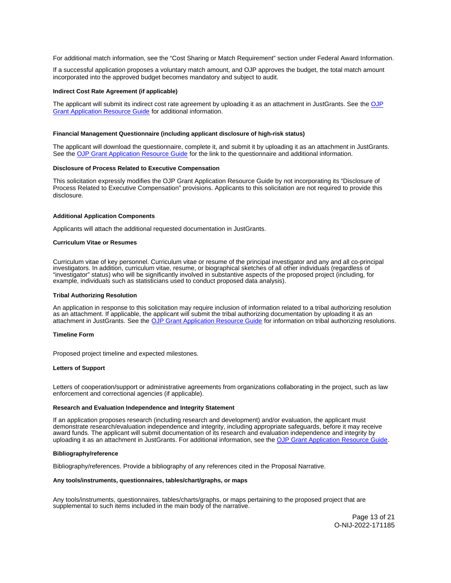<span id="page-13-0"></span>For additional match information, see the "Cost Sharing or Match Requirement" section under Federal Award Information.

If a successful application proposes a voluntary match amount, and OJP approves the budget, the total match amount incorporated into the approved budget becomes mandatory and subject to audit.

#### **Indirect Cost Rate Agreement (if applicable)**

The applicant will submit its indirect cost rate agreement by uploading it as an attachment in JustGrants. See the OJP [Grant Application Resource Guide](https://www.ojp.gov/funding/apply/ojp-grant-application-resource-guide#indirect-cost) for additional information.

#### **Financial Management Questionnaire (including applicant disclosure of high-risk status)**

The applicant will download the questionnaire, complete it, and submit it by uploading it as an attachment in JustGrants. See the [OJP Grant Application Resource Guide](https://www.ojp.gov/funding/apply/ojp-grant-application-resource-guide#fm-internal-controls-questionnaire) for the link to the questionnaire and additional information.

#### **Disclosure of Process Related to Executive Compensation**

This solicitation expressly modifies the OJP Grant Application Resource Guide by not incorporating its "Disclosure of Process Related to Executive Compensation" provisions. Applicants to this solicitation are not required to provide this disclosure.

#### **Additional Application Components**

Applicants will attach the additional requested documentation in JustGrants.

#### **Curriculum Vitae or Resumes**

Curriculum vitae of key personnel. Curriculum vitae or resume of the principal investigator and any and all co-principal investigators. In addition, curriculum vitae, resume, or biographical sketches of all other individuals (regardless of "investigator" status) who will be significantly involved in substantive aspects of the proposed project (including, for example, individuals such as statisticians used to conduct proposed data analysis).

#### **Tribal Authorizing Resolution**

An application in response to this solicitation may require inclusion of information related to a tribal authorizing resolution as an attachment. If applicable, the applicant will submit the tribal authorizing documentation by uploading it as an attachment in JustGrants. See the [OJP Grant Application Resource Guide](https://www.ojp.gov/funding/apply/ojp-grant-application-resource-guide#tribal-authorizing-resolution) for information on tribal authorizing resolutions.

#### **Timeline Form**

Proposed project timeline and expected milestones.

#### **Letters of Support**

Letters of cooperation/support or administrative agreements from organizations collaborating in the project, such as law enforcement and correctional agencies (if applicable).

#### **Research and Evaluation Independence and Integrity Statement**

If an application proposes research (including research and development) and/or evaluation, the applicant must demonstrate research/evaluation independence and integrity, including appropriate safeguards, before it may receive award funds. The applicant will submit documentation of its research and evaluation independence and integrity by uploading it as an attachment in JustGrants. For additional information, see the [OJP Grant Application Resource Guide.](https://www.ojp.gov/funding/apply/ojp-grant-application-resource-guide#research-evaluation)

#### **Bibliography/reference**

Bibliography/references. Provide a bibliography of any references cited in the Proposal Narrative.

#### **Any tools/instruments, questionnaires, tables/chart/graphs, or maps**

Any tools/instruments, questionnaires, tables/charts/graphs, or maps pertaining to the proposed project that are supplemental to such items included in the main body of the narrative.

> Page 13 of 21 O-NIJ-2022-171185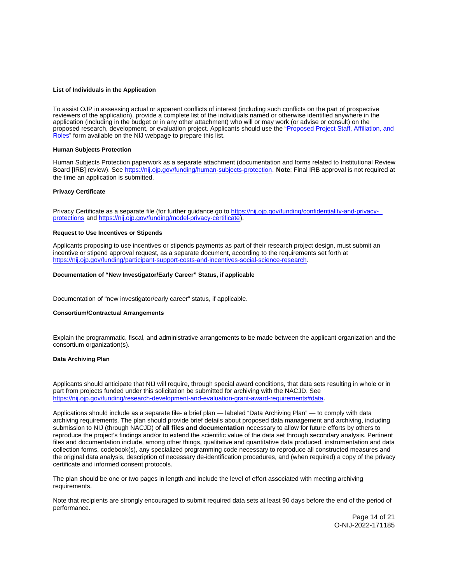#### <span id="page-14-0"></span>**List of Individuals in the Application**

To assist OJP in assessing actual or apparent conflicts of interest (including such conflicts on the part of prospective reviewers of the application), provide a complete list of the individuals named or otherwise identified anywhere in the application (including in the budget or in any other attachment) who will or may work (or advise or consult) on the proposed research, development, or evaluation project. Applicants should use the "Proposed Project Staff, Affiliation, and [Roles"](http://nij.ojp.gov/sites/g/files/xyckuh171/files/media/document/nij-project-staff-template.xlsx) form available on the NIJ webpage to prepare this list.

## **Human Subjects Protection**

Human Subjects Protection paperwork as a separate attachment (documentation and forms related to Institutional Review Board [IRB] review). See [https://nij.ojp.gov/funding/human-subjects-protection.](https://nij.ojp.gov/funding/human-subjects-protection) **Note**: Final IRB approval is not required at the time an application is submitted.

#### **Privacy Certificate**

Privacy Certificate as a separate file (for further guidance go to [https://nij.ojp.gov/funding/confidentiality-and-privacy](https://nij.ojp.gov/funding/confidentiality-and-privacy-protections)[protections](https://nij.ojp.gov/funding/confidentiality-and-privacy-protections) and [https://nij.ojp.gov/funding/model-privacy-certificate\)](https://nij.ojp.gov/funding/model-privacy-certificate).

#### **Request to Use Incentives or Stipends**

Applicants proposing to use incentives or stipends payments as part of their research project design, must submit an incentive or stipend approval request, as a separate document, according to the requirements set forth at [https://nij.ojp.gov/funding/participant-support-costs-and-incentives-social-science-research.](https://nij.ojp.gov/funding/participant-support-costs-and-incentives-social-science-research)

## **Documentation of "New Investigator/Early Career" Status, if applicable**

Documentation of "new investigator/early career" status, if applicable.

#### **Consortium/Contractual Arrangements**

Explain the programmatic, fiscal, and administrative arrangements to be made between the applicant organization and the consortium organization(s).

#### **Data Archiving Plan**

Applicants should anticipate that NIJ will require, through special award conditions, that data sets resulting in whole or in part from projects funded under this solicitation be submitted for archiving with the NACJD. See [https://nij.ojp.gov/funding/research-development-and-evaluation-grant-award-requirements#data.](https://nij.ojp.gov/funding/research-development-and-evaluation-grant-award-requirements#data)

Applications should include as a separate file- a brief plan — labeled "Data Archiving Plan" — to comply with data archiving requirements. The plan should provide brief details about proposed data management and archiving, including submission to NIJ (through NACJD) of **all files and documentation** necessary to allow for future efforts by others to reproduce the project's findings and/or to extend the scientific value of the data set through secondary analysis. Pertinent files and documentation include, among other things, qualitative and quantitative data produced, instrumentation and data collection forms, codebook(s), any specialized programming code necessary to reproduce all constructed measures and the original data analysis, description of necessary de-identification procedures, and (when required) a copy of the privacy certificate and informed consent protocols.

The plan should be one or two pages in length and include the level of effort associated with meeting archiving requirements.

Note that recipients are strongly encouraged to submit required data sets at least 90 days before the end of the period of performance.

> Page 14 of 21 O-NIJ-2022-171185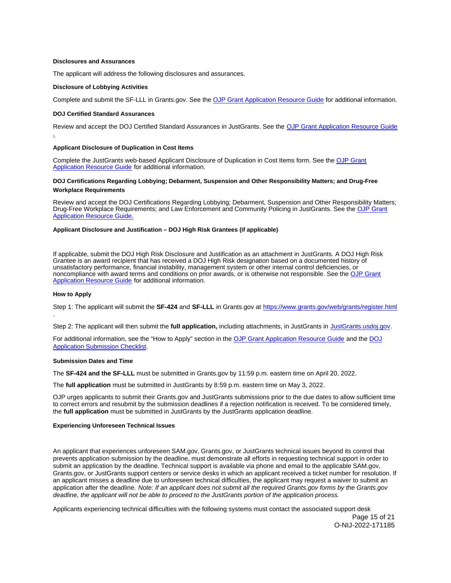#### <span id="page-15-0"></span>**Disclosures and Assurances**

The applicant will address the following disclosures and assurances.

#### **Disclosure of Lobbying Activities**

Complete and submit the SF-LLL in [Grants.gov](https://Grants.gov). See the [OJP Grant Application Resource Guide](https://www.ojp.gov/funding/apply/ojp-grant-application-resource-guide#disclosure-lobby) for additional information.

#### **DOJ Certified Standard Assurances**

Review and accept the DOJ Certified Standard Assurances in JustGrants. See the [OJP Grant Application Resource Guide](https://www.ojp.gov/funding/apply/ojp-grant-application-resource-guide#administrative)  .

#### **Applicant Disclosure of Duplication in Cost Items**

Complete the JustGrants web-based Applicant Disclosure of Duplication in Cost Items form. See the [OJP Grant](https://www.ojp.gov/funding/apply/ojp-grant-application-resource-guide#applicant-disclosure-pending-applications)  [Application Resource Guide](https://www.ojp.gov/funding/apply/ojp-grant-application-resource-guide#applicant-disclosure-pending-applications) for additional information.

## **DOJ Certifications Regarding Lobbying; Debarment, Suspension and Other Responsibility Matters; and Drug-Free Workplace Requirements**

Review and accept the DOJ Certifications Regarding Lobbying; Debarment, Suspension and Other Responsibility Matters; Drug-Free Workplace Requirements; and Law Enforcement and Community Policing in JustGrants. See the [OJP Grant](https://www.ojp.gov/funding/apply/ojp-grant-application-resource-guide#administrative) [Application Resource Guide.](https://www.ojp.gov/funding/apply/ojp-grant-application-resource-guide#administrative)

## **Applicant Disclosure and Justification – DOJ High Risk Grantees (if applicable)**

If applicable, submit the DOJ High Risk Disclosure and Justification as an attachment in JustGrants. A DOJ High Risk Grantee is an award recipient that has received a DOJ High Risk designation based on a documented history of unsatisfactory performance, financial instability, management system or other internal control deficiencies, or noncompliance with award terms and conditions on prior awards, or is otherwise not responsible. See the [OJP Grant](https://www.ojp.gov/funding/apply/ojp-grant-application-resource-guide#applicant-disclosure-justification)  [Application Resource Guide](https://www.ojp.gov/funding/apply/ojp-grant-application-resource-guide#applicant-disclosure-justification) for additional information.

#### **How to Apply**

.

Step 1: The applicant will submit the **SF-424** and **SF-LLL** in [Grants.gov](https://Grants.gov) at <https://www.grants.gov/web/grants/register.html>

Step 2: The applicant will then submit the **full application,** including attachments, in JustGrants in [JustGrants.usdoj.gov.](https://justicegrants.usdoj.gov/) 

For additional information, see the "How to Apply" section in the [OJP Grant Application Resource Guide](https://www.ojp.gov/funding/apply/ojp-grant-application-resource-guide#apply) and the DOJ [Application Submission Checklist.](https://justicegrants.usdoj.gov/sites/g/files/xyckuh296/files/media/document/appln-submission-checklist.pdf)

#### **Submission Dates and Time**

The **SF-424 and the SF-LLL** must be submitted in [Grants.gov](https://Grants.gov) by 11:59 p.m. eastern time on April 20, 2022.

The **full application** must be submitted in JustGrants by 8:59 p.m. eastern time on May 3, 2022.

OJP urges applicants to submit their [Grants.gov](https://Grants.gov) and JustGrants submissions prior to the due dates to allow sufficient time to correct errors and resubmit by the submission deadlines if a rejection notification is received. To be considered timely, the **full application** must be submitted in JustGrants by the JustGrants application deadline.

## **Experiencing Unforeseen Technical Issues**

An applicant that experiences unforeseen SAM.gov, [Grants.gov](https://Grants.gov), or JustGrants technical issues beyond its control that prevents application submission by the deadline, must demonstrate all efforts in requesting technical support in order to submit an application by the deadline. Technical support is available via phone and email to the applicable SAM.gov, [Grants.gov](https://Grants.gov), or JustGrants support centers or service desks in which an applicant received a ticket number for resolution. If an applicant misses a deadline due to unforeseen technical difficulties, the applicant may request a waiver to submit an application after the deadline. Note: If an applicant does not submit all the required [Grants.gov](https://Grants.gov) forms by the [Grants.gov](https://Grants.gov) deadline, the applicant will not be able to proceed to the JustGrants portion of the application process.

Applicants experiencing technical difficulties with the following systems must contact the associated support desk Page 15 of 21

O-NIJ-2022-171185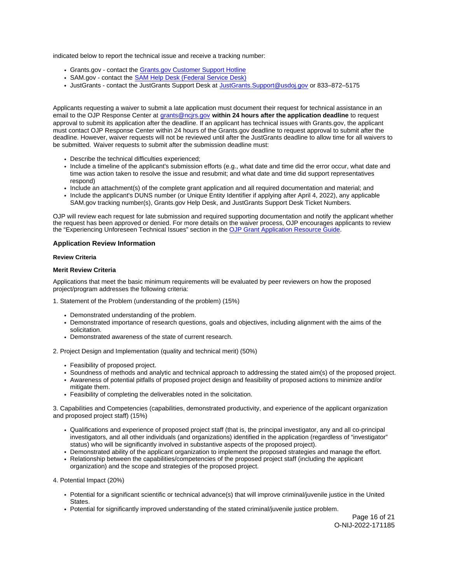<span id="page-16-0"></span>indicated below to report the technical issue and receive a tracking number:

- [Grants.gov](https://Grants.gov)  contact the [Grants.gov Customer Support Hotline](https://www.grants.gov/web/grants/support.html)
- SAM.gov contact the [SAM Help Desk \(Federal Service Desk\)](https://www.fsd.gov/gsafsd_sp)
- JustGrants contact the JustGrants Support Desk at [JustGrants.Support@usdoj.gov](mailto:JustGrants.Support@usdoj.gov) or 833–872–5175

Applicants requesting a waiver to submit a late application must document their request for technical assistance in an email to the OJP Response Center at [grants@ncjrs.gov](file:///C:/Users/local_Yehj/INetCache/Content.Outlook/20U4XBR7/grants@ncjrs.gov) **within 24 hours after the application deadline** to request approval to submit its application after the deadline. If an applicant has technical issues with [Grants.gov,](https://Grants.gov) the applicant must contact OJP Response Center within 24 hours of the [Grants.gov](https://Grants.gov) deadline to request approval to submit after the deadline. However, waiver requests will not be reviewed until after the JustGrants deadline to allow time for all waivers to be submitted. Waiver requests to submit after the submission deadline must:

- Describe the technical difficulties experienced;
- Include a timeline of the applicant's submission efforts (e.g., what date and time did the error occur, what date and time was action taken to resolve the issue and resubmit; and what date and time did support representatives respond)
- Include an attachment(s) of the complete grant application and all required documentation and material; and
- Include the applicant's DUNS number (or Unique Entity Identifier if applying after April 4, 2022), any applicable SAM.gov tracking number(s), [Grants.gov](https://Grants.gov) Help Desk, and JustGrants Support Desk Ticket Numbers.

OJP will review each request for late submission and required supporting documentation and notify the applicant whether the request has been approved or denied. For more details on the waiver process, OJP encourages applicants to review the "Experiencing Unforeseen Technical Issues" section in the [OJP Grant Application Resource Guide](https://www.ojp.gov/funding/apply/ojp-grant-application-resource-guide#experiencing-unforeseen-technical-issues).

#### **Application Review Information**

## **Review Criteria**

#### **Merit Review Criteria**

Applications that meet the basic minimum requirements will be evaluated by peer reviewers on how the proposed project/program addresses the following criteria:

1. Statement of the Problem (understanding of the problem) (15%)

- Demonstrated understanding of the problem.
- Demonstrated importance of research questions, goals and objectives, including alignment with the aims of the solicitation.
- Demonstrated awareness of the state of current research.

2. Project Design and Implementation (quality and technical merit) (50%)

- Feasibility of proposed project.
- Soundness of methods and analytic and technical approach to addressing the stated aim(s) of the proposed project.
- Awareness of potential pitfalls of proposed project design and feasibility of proposed actions to minimize and/or mitigate them.
- Feasibility of completing the deliverables noted in the solicitation.

3. Capabilities and Competencies (capabilities, demonstrated productivity, and experience of the applicant organization and proposed project staff) (15%)

- Qualifications and experience of proposed project staff (that is, the principal investigator, any and all co-principal investigators, and all other individuals (and organizations) identified in the application (regardless of "investigator" status) who will be significantly involved in substantive aspects of the proposed project).
- Demonstrated ability of the applicant organization to implement the proposed strategies and manage the effort.
- Relationship between the capabilities/competencies of the proposed project staff (including the applicant organization) and the scope and strategies of the proposed project.
- 4. Potential Impact (20%)
	- Potential for a significant scientific or technical advance(s) that will improve criminal/juvenile justice in the United States.
	- Potential for significantly improved understanding of the stated criminal/juvenile justice problem.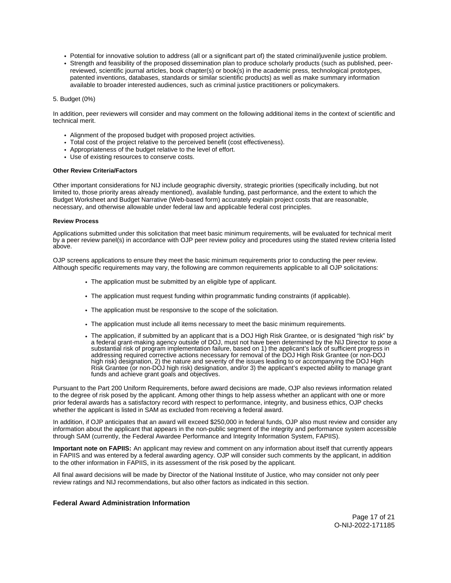- <span id="page-17-0"></span>Potential for innovative solution to address (all or a significant part of) the stated criminal/juvenile justice problem.
- Strength and feasibility of the proposed dissemination plan to produce scholarly products (such as published, peerreviewed, scientific journal articles, book chapter(s) or book(s) in the academic press, technological prototypes, patented inventions, databases, standards or similar scientific products) as well as make summary information available to broader interested audiences, such as criminal justice practitioners or policymakers.

#### 5. Budget (0%)

In addition, peer reviewers will consider and may comment on the following additional items in the context of scientific and technical merit.

- Alignment of the proposed budget with proposed project activities.
- Total cost of the project relative to the perceived benefit (cost effectiveness).
- Appropriateness of the budget relative to the level of effort.
- Use of existing resources to conserve costs.

#### **Other Review Criteria/Factors**

Other important considerations for NIJ include geographic diversity, strategic priorities (specifically including, but not limited to, those priority areas already mentioned), available funding, past performance, and the extent to which the Budget Worksheet and Budget Narrative (Web-based form) accurately explain project costs that are reasonable, necessary, and otherwise allowable under federal law and applicable federal cost principles.

#### **Review Process**

Applications submitted under this solicitation that meet basic minimum requirements, will be evaluated for technical merit by a peer review panel(s) in accordance with OJP peer review policy and procedures using the stated review criteria listed above.

OJP screens applications to ensure they meet the basic minimum requirements prior to conducting the peer review. Although specific requirements may vary, the following are common requirements applicable to all OJP solicitations:

- The application must be submitted by an eligible type of applicant.
- The application must request funding within programmatic funding constraints (if applicable).
- The application must be responsive to the scope of the solicitation.
- The application must include all items necessary to meet the basic minimum requirements.
- The application, if submitted by an applicant that is a DOJ High Risk Grantee, or is designated "high risk" by a federal grant-making agency outside of DOJ, must not have been determined by the NIJ Director to pose a substantial risk of program implementation failure, based on 1) the applicant's lack of sufficient progress in addressing required corrective actions necessary for removal of the DOJ High Risk Grantee (or non-DOJ high risk) designation, 2) the nature and severity of the issues leading to or accompanying the DOJ High Risk Grantee (or non-DOJ high risk) designation, and/or 3) the applicant's expected ability to manage grant funds and achieve grant goals and objectives.

Pursuant to the Part 200 Uniform Requirements, before award decisions are made, OJP also reviews information related to the degree of risk posed by the applicant. Among other things to help assess whether an applicant with one or more prior federal awards has a satisfactory record with respect to performance, integrity, and business ethics, OJP checks whether the applicant is listed in SAM as excluded from receiving a federal award.

In addition, if OJP anticipates that an award will exceed \$250,000 in federal funds, OJP also must review and consider any information about the applicant that appears in the non-public segment of the integrity and performance system accessible through SAM (currently, the Federal Awardee Performance and Integrity Information System, FAPIIS).

**Important note on FAPIIS:** An applicant may review and comment on any information about itself that currently appears in FAPIIS and was entered by a federal awarding agency. OJP will consider such comments by the applicant, in addition to the other information in FAPIIS, in its assessment of the risk posed by the applicant.

All final award decisions will be made by Director of the National Institute of Justice, who may consider not only peer review ratings and NIJ recommendations, but also other factors as indicated in this section.

#### **Federal Award Administration Information**

Page 17 of 21 O-NIJ-2022-171185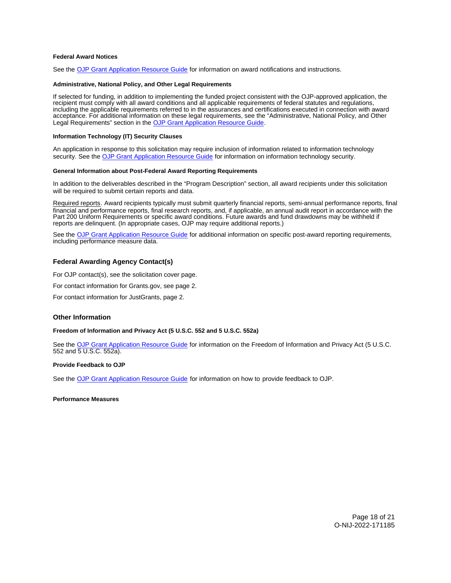## <span id="page-18-0"></span>**Federal Award Notices**

See the [OJP Grant Application Resource Guide](https://www.ojp.gov/funding/apply/ojp-grant-application-resource-guide#federal-award-notices) for information on award notifications and instructions.

#### **Administrative, National Policy, and Other Legal Requirements**

If selected for funding, in addition to implementing the funded project consistent with the OJP-approved application, the recipient must comply with all award conditions and all applicable requirements of federal statutes and regulations, including the applicable requirements referred to in the assurances and certifications executed in connection with award acceptance. For additional information on these legal requirements, see the "Administrative, National Policy, and Other Legal Requirements" section in the [OJP Grant Application Resource Guide.](https://www.ojp.gov/funding/apply/ojp-grant-application-resource-guide#administrative)

#### **Information Technology (IT) Security Clauses**

An application in response to this solicitation may require inclusion of information related to information technology security. See the [OJP Grant Application Resource Guide](https://www.ojp.gov/funding/apply/ojp-grant-application-resource-guide#information-technology) for information on information technology security.

#### **General Information about Post-Federal Award Reporting Requirements**

In addition to the deliverables described in the "Program Description" section, all award recipients under this solicitation will be required to submit certain reports and data.

Required reports. Award recipients typically must submit quarterly financial reports, semi-annual performance reports, final financial and performance reports, final research reports, and, if applicable, an annual audit report in accordance with the Part 200 Uniform Requirements or specific award conditions. Future awards and fund drawdowns may be withheld if reports are delinquent. (In appropriate cases, OJP may require additional reports.)

See the [OJP Grant Application Resource Guide](https://www.ojp.gov/funding/apply/ojp-grant-application-resource-guide#general-information) for additional information on specific post-award reporting requirements, including performance measure data.

## **Federal Awarding Agency Contact(s)**

For OJP contact(s), see the solicitation cover page.

For contact information for [Grants.gov](https://Grants.gov), see page 2.

For contact information for JustGrants, page 2.

## **Other Information**

## **Freedom of Information and Privacy Act (5 U.S.C. 552 and 5 U.S.C. 552a)**

See the [OJP Grant Application Resource Guide](https://www.ojp.gov/funding/apply/ojp-grant-application-resource-guide#foia) for information on the Freedom of Information and Privacy Act (5 U.S.C. 552 and 5 U.S.C. 552a).

## **Provide Feedback to OJP**

See the [OJP Grant Application Resource Guide](https://www.ojp.gov/funding/apply/ojp-grant-application-resource-guide#feedback) for information on how to provide feedback to OJP.

#### **Performance Measures**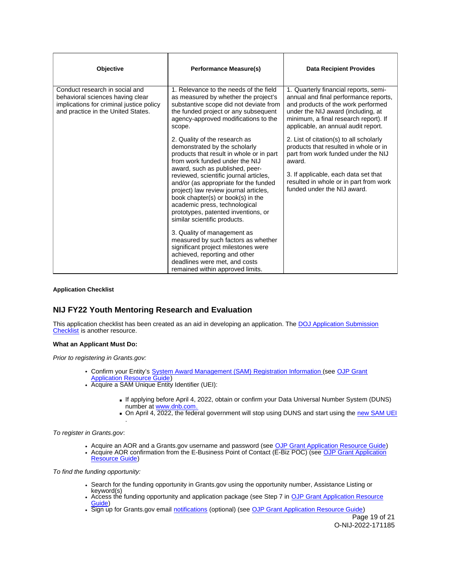<span id="page-19-0"></span>

| <b>Objective</b>                                                                                                                                     | <b>Performance Measure(s)</b>                                                                                                                                                                                                                                                                                                                                                                                                                                                                                                                                                                                                                                               | <b>Data Recipient Provides</b>                                                                                                                                                                                                                     |
|------------------------------------------------------------------------------------------------------------------------------------------------------|-----------------------------------------------------------------------------------------------------------------------------------------------------------------------------------------------------------------------------------------------------------------------------------------------------------------------------------------------------------------------------------------------------------------------------------------------------------------------------------------------------------------------------------------------------------------------------------------------------------------------------------------------------------------------------|----------------------------------------------------------------------------------------------------------------------------------------------------------------------------------------------------------------------------------------------------|
| Conduct research in social and<br>behavioral sciences having clear<br>implications for criminal justice policy<br>and practice in the United States. | 1. Relevance to the needs of the field<br>as measured by whether the project's<br>substantive scope did not deviate from<br>the funded project or any subsequent<br>agency-approved modifications to the<br>scope.                                                                                                                                                                                                                                                                                                                                                                                                                                                          | 1. Quarterly financial reports, semi-<br>annual and final performance reports,<br>and products of the work performed<br>under the NIJ award (including, at<br>minimum, a final research report). If<br>applicable, an annual audit report.         |
|                                                                                                                                                      | 2. Quality of the research as<br>demonstrated by the scholarly<br>products that result in whole or in part<br>from work funded under the NIJ<br>award, such as published, peer-<br>reviewed, scientific journal articles,<br>and/or (as appropriate for the funded<br>project) law review journal articles,<br>book chapter(s) or book(s) in the<br>academic press, technological<br>prototypes, patented inventions, or<br>similar scientific products.<br>3. Quality of management as<br>measured by such factors as whether<br>significant project milestones were<br>achieved, reporting and other<br>deadlines were met, and costs<br>remained within approved limits. | 2. List of citation(s) to all scholarly<br>products that resulted in whole or in<br>part from work funded under the NIJ<br>award.<br>3. If applicable, each data set that<br>resulted in whole or in part from work<br>funded under the NIJ award. |

## **Application Checklist**

## **NIJ FY22 Youth Mentoring Research and Evaluation**

This application checklist has been created as an aid in developing an application. The [DOJ Application Submission](https://justicegrants.usdoj.gov/sites/g/files/xyckuh296/files/media/document/appln-submission-checklist.pdf)  [Checklist](https://justicegrants.usdoj.gov/sites/g/files/xyckuh296/files/media/document/appln-submission-checklist.pdf) is another resource.

## **What an Applicant Must Do:**

Prior to registering in [Grants.gov](https://Grants.gov):

- Confirm your Entity's [System Award Management \(SAM\)](https://sam.gov/SAM/) Registration Information (see OJP Grant [Application Resource Guide\)](https://www.ojp.gov/funding/apply/ojp-grant-application-resource-guide#apply)
- Acquire a SAM Unique Entity Identifier (UEI):
	- If applying before April 4, 2022, obtain or confirm your Data Universal Number System (DUNS) number at [www.dnb.com.](http://www.dnb.com)
	- On April 4, 2022, the federal government will stop using DUNS and start using the new SAM UEI .

#### To register in [Grants.gov](https://Grants.gov):

- Acquire an AOR and a [Grants.gov](https://Grants.gov) username and password (see [OJP Grant Application Resource Guide\)](https://www.ojp.gov/funding/apply/ojp-grant-application-resource-guide#apply)
- Acquire AOR confirmation from the E-Business Point of Contact (E-Biz POC) (see [OJP Grant Application](https://www.ojp.gov/funding/apply/ojp-grant-application-resource-guide#apply)  [Resource Guide\)](https://www.ojp.gov/funding/apply/ojp-grant-application-resource-guide#apply)

To find the funding opportunity:

- Search for the funding opportunity in [Grants.gov](https://Grants.gov) using the opportunity number, Assistance Listing or keyword(s)
	- Access the funding opportunity and application package (see Step 7 in OJP Grant Application Resource [Guide\)](https://www.ojp.gov/funding/apply/ojp-grant-application-resource-guide#apply)
- Sign up for [Grants.gov](https://Grants.gov) email [notifications](https://www.grants.gov/web/grants/manage-subscriptions.html) (optional) (see [OJP Grant Application Resource Guide\)](https://www.ojp.gov/funding/apply/ojp-grant-application-resource-guide#apply)

Page 19 of 21 O-NIJ-2022-171185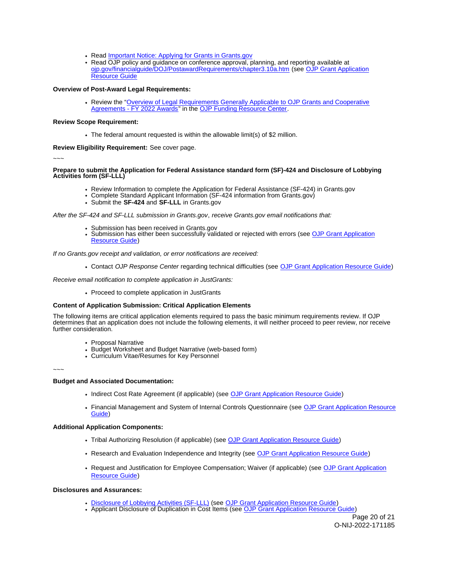- Read **Important Notice: Applying for Grants in Grants.gov**
- Read OJP policy and guidance on conference approval, planning, and reporting available at [ojp.gov/financialguide/DOJ/PostawardRequirements/chapter3.10a.htm](https://ojp.gov/financialguide/DOJ/PostawardRequirements/chapter3.10a.htm) (see [OJP Grant Application](https://www.ojp.gov/funding/apply/ojp-grant-application-resource-guide#prior-approval)  [Resource Guide](https://www.ojp.gov/funding/apply/ojp-grant-application-resource-guide#prior-approval)

## **Overview of Post-Award Legal Requirements:**

Review the "Overview of Legal Requirements Generally Applicable to OJP Grants and Cooperative [Agreements - FY 2022 Awards"](https://www.ojp.gov/funding/explore/legal-overview-awards) in the [OJP Funding Resource Center.](https://www.ojp.gov/funding/explore/legal-overview-awards)

#### **Review Scope Requirement:**

The federal amount requested is within the allowable limit(s) of \$2 million.

**Review Eligibility Requirement:** See cover page.

~~~

#### **Prepare to submit the Application for Federal Assistance standard form (SF)-424 and Disclosure of Lobbying Activities form (SF-LLL)**

- Review Information to complete the Application for Federal Assistance (SF-424) in [Grants.gov](https://Grants.gov)
- Complete Standard Applicant Information (SF-424 information from [Grants.gov\)](https://Grants.gov)
- Submit the **SF-424** and **SF-LLL** in [Grants.gov](https://Grants.gov)

After the SF-424 and SF-LLL submission in [Grants.gov](https://Grants.gov), receive [Grants.gov](https://Grants.gov) email notifications that:

- 
- Submission has been received in [Grants.gov](https://Grants.gov)<br>Submission has either been succ[essfully valid](https://Grants.gov)ated or rejected with errors (see OJP Grant Application [Resource Guide\)](https://www.ojp.gov/funding/apply/ojp-grant-application-resource-guide#apply)

If no [Grants.gov](https://Grants.gov) receipt and validation, or error notifications are received:

Contact OJP Response Center regarding technical difficulties (see [OJP Grant Application Resource Guide\)](https://www.ojp.gov/funding/apply/ojp-grant-application-resource-guide#apply)

Receive email notification to complete application in JustGrants:

• Proceed to complete application in JustGrants

## **Content of Application Submission: Critical Application Elements**

The following items are critical application elements required to pass the basic minimum requirements review. If OJP determines that an application does not include the following elements, it will neither proceed to peer review, nor receive further consideration.

- Proposal Narrative
- Budget Worksheet and Budget Narrative (web-based form)
- Curriculum Vitae/Resumes for Key Personnel

~~~

## **Budget and Associated Documentation:**

- Indirect Cost Rate Agreement (if applicable) (see [OJP Grant Application Resource Guide\)](https://www.ojp.gov/funding/apply/ojp-grant-application-resource-guide#indirect-cost)
- Financial Management and System of Internal Controls Questionnaire (see OJP Grant Application Resource [Guide\)](https://www.ojp.gov/funding/apply/ojp-grant-application-resource-guide#fm-internal-controls-questionnaire)

#### **Additional Application Components:**

- Tribal Authorizing Resolution (if applicable) (see [OJP Grant Application Resource Guide\)](https://www.ojp.gov/funding/apply/ojp-grant-application-resource-guide#tribal-authorizing-resolution)
- Research and Evaluation Independence and Integrity (see [OJP Grant Application Resource Guide\)](https://www.ojp.gov/funding/apply/ojp-grant-application-resource-guide#research-evaluation)
- Request and Justification for Employee Compensation; Waiver (if applicable) (see [OJP Grant Application](https://www.ojp.gov/funding/apply/ojp-grant-application-resource-guide#limitation-use-award)  [Resource Guide\)](https://www.ojp.gov/funding/apply/ojp-grant-application-resource-guide#limitation-use-award)

## **Disclosures and Assurances:**

- [Disclosure of Lobbying Activities \(SF-LLL\)](https://ojp.gov/funding/Apply/Resources/Disclosure.pdf) (see [OJP Grant Application Resource Guide\)](https://www.ojp.gov/funding/apply/ojp-grant-application-resource-guide#disclosure-lobby)
- Applicant Disclosure of Duplication in Cost Items (see [OJP Grant Application Resource Guide\)](https://www.ojp.gov/funding/apply/ojp-grant-application-resource-guide#applicant-disclosure-pending-applications)